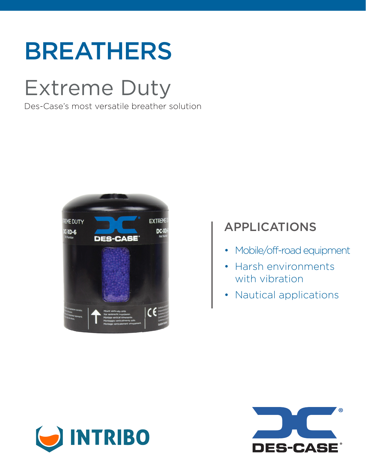# BREATHERS

# Extreme Duty

Des-Case's most versatile breather solution



## APPLICATIONS

- Mobile/off-road equipment
- Harsh environments with vibration
- Nautical applications